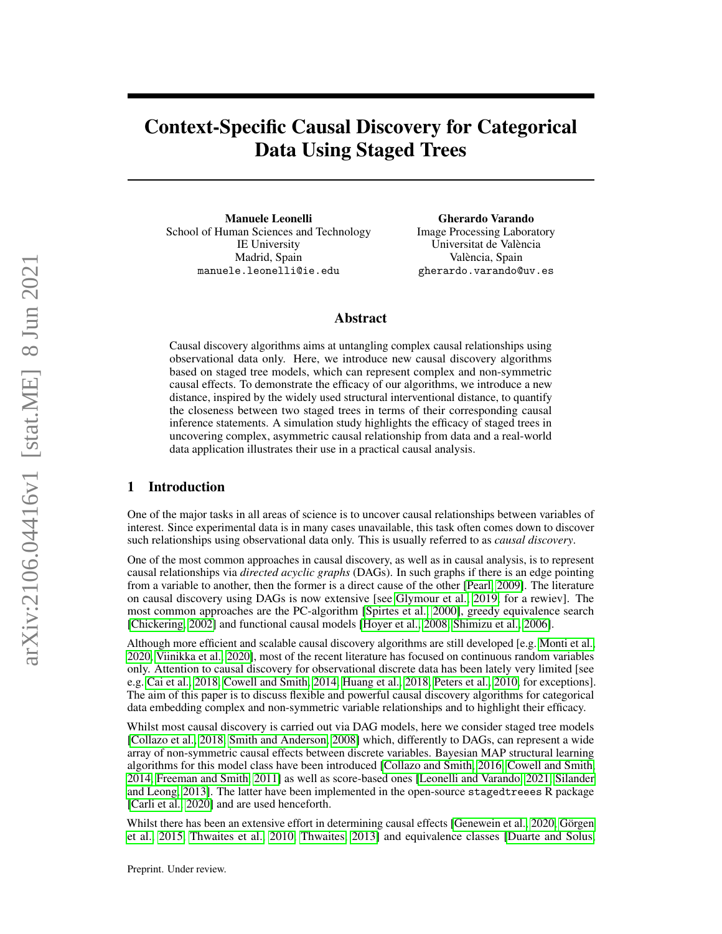# Context-Specific Causal Discovery for Categorical Data Using Staged Trees

Manuele Leonelli School of Human Sciences and Technology IE University Madrid, Spain manuele.leonelli@ie.edu

Gherardo Varando Image Processing Laboratory Universitat de València València, Spain gherardo.varando@uv.es

# Abstract

Causal discovery algorithms aims at untangling complex causal relationships using observational data only. Here, we introduce new causal discovery algorithms based on staged tree models, which can represent complex and non-symmetric causal effects. To demonstrate the efficacy of our algorithms, we introduce a new distance, inspired by the widely used structural interventional distance, to quantify the closeness between two staged trees in terms of their corresponding causal inference statements. A simulation study highlights the efficacy of staged trees in uncovering complex, asymmetric causal relationship from data and a real-world data application illustrates their use in a practical causal analysis.

# 1 Introduction

One of the major tasks in all areas of science is to uncover causal relationships between variables of interest. Since experimental data is in many cases unavailable, this task often comes down to discover such relationships using observational data only. This is usually referred to as *causal discovery*.

One of the most common approaches in causal discovery, as well as in causal analysis, is to represent causal relationships via *directed acyclic graphs* (DAGs). In such graphs if there is an edge pointing from a variable to another, then the former is a direct cause of the other [\[Pearl, 2009\]](#page-9-0). The literature on causal discovery using DAGs is now extensive [see [Glymour et al., 2019,](#page-9-1) for a rewiev]. The most common approaches are the PC-algorithm [\[Spirtes et al., 2000\]](#page-10-0), greedy equivalence search [\[Chickering, 2002\]](#page-9-2) and functional causal models [\[Hoyer et al., 2008,](#page-9-3) [Shimizu et al., 2006\]](#page-10-1).

Although more efficient and scalable causal discovery algorithms are still developed [e.g. [Monti et al.,](#page-9-4) [2020,](#page-9-4) [Viinikka et al., 2020\]](#page-10-2), most of the recent literature has focused on continuous random variables only. Attention to causal discovery for observational discrete data has been lately very limited [see e.g. [Cai et al., 2018,](#page-9-5) [Cowell and Smith, 2014,](#page-9-6) [Huang et al., 2018,](#page-9-7) [Peters et al., 2010,](#page-10-3) for exceptions]. The aim of this paper is to discuss flexible and powerful causal discovery algorithms for categorical data embedding complex and non-symmetric variable relationships and to highlight their efficacy.

Whilst most causal discovery is carried out via DAG models, here we consider staged tree models [\[Collazo et al., 2018,](#page-9-8) [Smith and Anderson, 2008\]](#page-10-4) which, differently to DAGs, can represent a wide array of non-symmetric causal effects between discrete variables. Bayesian MAP structural learning algorithms for this model class have been introduced [\[Collazo and Smith, 2016,](#page-9-9) [Cowell and Smith,](#page-9-6) [2014,](#page-9-6) [Freeman and Smith, 2011\]](#page-9-10) as well as score-based ones [\[Leonelli and Varando, 2021,](#page-9-11) [Silander](#page-10-5) [and Leong, 2013\]](#page-10-5). The latter have been implemented in the open-source stagedtreees R package [\[Carli et al., 2020\]](#page-9-12) and are used henceforth.

Whilst there has been an extensive effort in determining causal effects [\[Genewein et al., 2020,](#page-9-13) [Görgen](#page-9-14) [et al., 2015,](#page-9-14) [Thwaites et al., 2010,](#page-10-6) [Thwaites, 2013\]](#page-10-7) and equivalence classes [\[Duarte and Solus,](#page-9-15)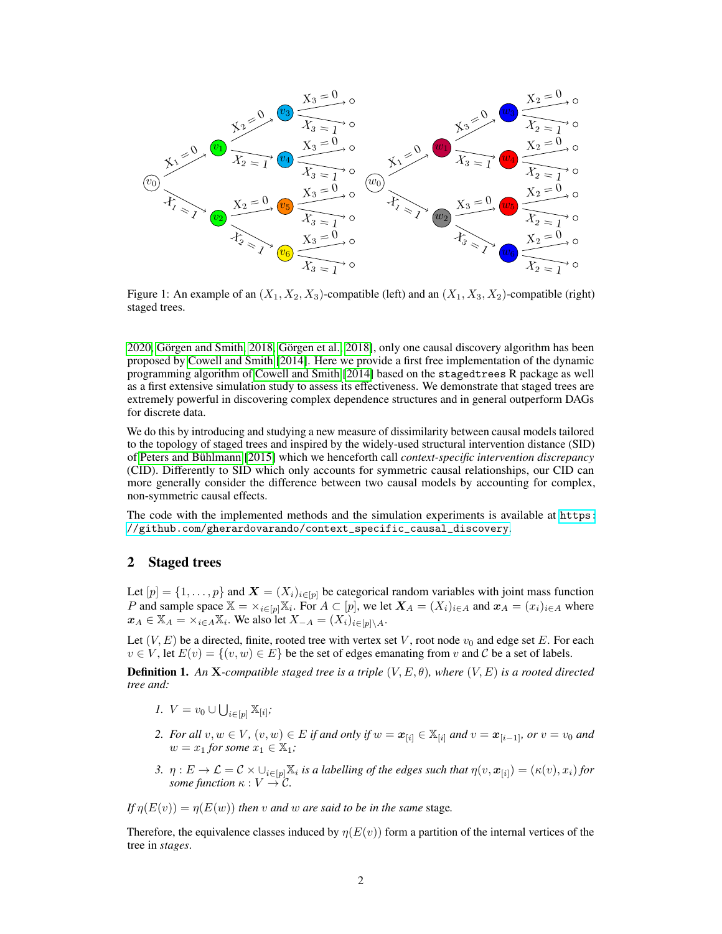<span id="page-1-1"></span>

Figure 1: An example of an  $(X_1, X_2, X_3)$ -compatible (left) and an  $(X_1, X_3, X_2)$ -compatible (right) staged trees.

[2020,](#page-9-15) [Görgen and Smith, 2018,](#page-9-16) [Görgen et al., 2018\]](#page-9-17), only one causal discovery algorithm has been proposed by [Cowell and Smith](#page-9-6) [\[2014\]](#page-9-6). Here we provide a first free implementation of the dynamic programming algorithm of [Cowell and Smith](#page-9-6) [\[2014\]](#page-9-6) based on the stagedtrees R package as well as a first extensive simulation study to assess its effectiveness. We demonstrate that staged trees are extremely powerful in discovering complex dependence structures and in general outperform DAGs for discrete data.

We do this by introducing and studying a new measure of dissimilarity between causal models tailored to the topology of staged trees and inspired by the widely-used structural intervention distance (SID) of [Peters and Bühlmann](#page-10-8) [\[2015\]](#page-10-8) which we henceforth call *context-specific intervention discrepancy* (CID). Differently to SID which only accounts for symmetric causal relationships, our CID can more generally consider the difference between two causal models by accounting for complex, non-symmetric causal effects.

The code with the implemented methods and the simulation experiments is available at [https:](https://github.com/gherardovarando/context_specific_causal_discovery) [//github.com/gherardovarando/context\\_specific\\_causal\\_discovery](https://github.com/gherardovarando/context_specific_causal_discovery).

## 2 Staged trees

Let  $[p] = \{1, \ldots, p\}$  and  $\boldsymbol{X} = (X_i)_{i \in [p]}$  be categorical random variables with joint mass function P and sample space  $X = \times_{i \in [p]} X_i$ . For  $A \subset [p]$ , we let  $X_A = (X_i)_{i \in A}$  and  $x_A = (x_i)_{i \in A}$  where  $x_A \in \mathbb{X}_A = \times_{i \in A} \mathbb{X}_i$ . We also let  $X_{-A} = (X_i)_{i \in [p] \setminus A}$ .

Let  $(V, E)$  be a directed, finite, rooted tree with vertex set V, root node  $v_0$  and edge set E. For each  $v \in V$ , let  $E(v) = \{(v, w) \in E\}$  be the set of edges emanating from v and C be a set of labels.

<span id="page-1-0"></span>**Definition 1.** An **X**-compatible staged tree is a triple  $(V, E, \theta)$ , where  $(V, E)$  is a rooted directed *tree and:*

- *1.*  $V = v_0 \cup \bigcup_{i \in [p]} \mathbb{X}_{[i]}$ ;
- *2. For all*  $v, w \in V$ *,*  $(v, w) \in E$  *if and only if*  $w = x_{[i]} \in \mathbb{X}_{[i]}$  *and*  $v = x_{[i-1]}$ *, or*  $v = v_0$  *and*  $w = x_1$  *for some*  $x_1 \in \mathbb{X}_1$ ;
- 3.  $\eta: E \to \mathcal{L} = \mathcal{C} \times \cup_{i \in [p]} \mathbb{X}_i$  *is a labelling of the edges such that*  $\eta(v, x_{[i]}) = (\kappa(v), x_i)$  *for some function*  $\kappa : V \to \mathcal{C}$ .

*If*  $n(E(v)) = n(E(w))$  *then v and w are said to be in the same* stage.

Therefore, the equivalence classes induced by  $\eta(E(v))$  form a partition of the internal vertices of the tree in *stages*.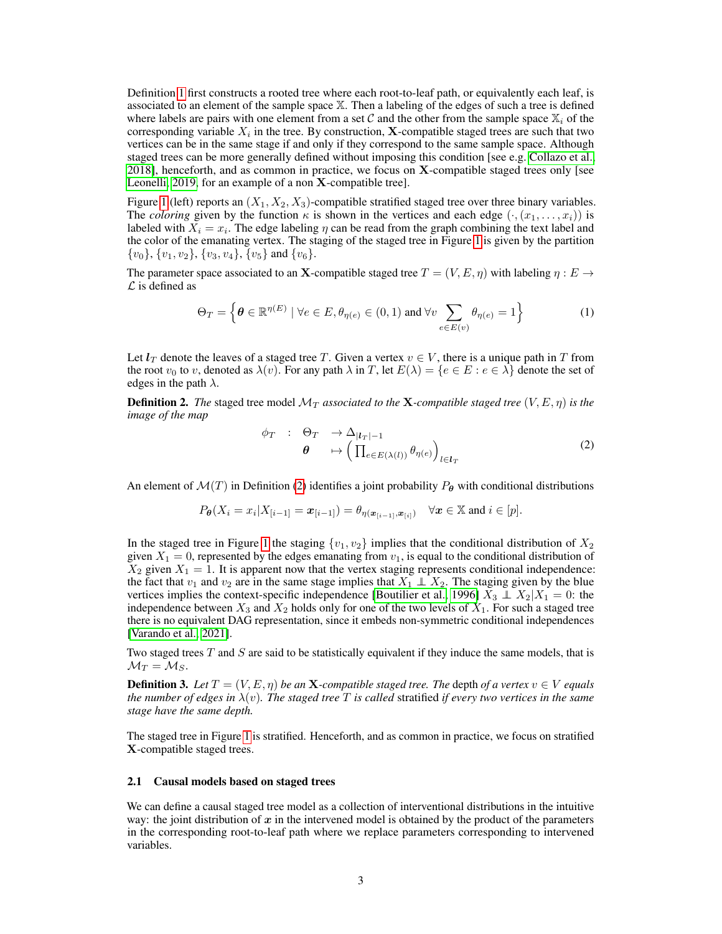Definition [1](#page-1-0) first constructs a rooted tree where each root-to-leaf path, or equivalently each leaf, is associated to an element of the sample space X. Then a labeling of the edges of such a tree is defined where labels are pairs with one element from a set C and the other from the sample space  $\mathbb{X}_i$  of the corresponding variable  $X_i$  in the tree. By construction, **X**-compatible staged trees are such that two vertices can be in the same stage if and only if they correspond to the same sample space. Although staged trees can be more generally defined without imposing this condition [see e.g. [Collazo et al.,](#page-9-8) [2018\]](#page-9-8), henceforth, and as common in practice, we focus on X-compatible staged trees only [see [Leonelli, 2019,](#page-9-18) for an example of a non X-compatible tree].

Figure [1](#page-1-1) (left) reports an  $(X_1, X_2, X_3)$ -compatible stratified staged tree over three binary variables. The *coloring* given by the function  $\kappa$  is shown in the vertices and each edge  $(\cdot, (x_1, \ldots, x_i))$  is labeled with  $X_i = x_i$ . The edge labeling  $\eta$  can be read from the graph combining the text label and the color of the emanating vertex. The staging of the staged tree in Figure [1](#page-1-1) is given by the partition  ${v_0}, {v_1, v_2}, {v_3, v_4}, \overline{v_5}$  and  ${v_6}.$ 

The parameter space associated to an X-compatible staged tree  $T = (V, E, \eta)$  with labeling  $\eta : E \to$  $\mathcal L$  is defined as

$$
\Theta_T = \left\{ \boldsymbol{\theta} \in \mathbb{R}^{\eta(E)} \mid \forall e \in E, \theta_{\eta(e)} \in (0, 1) \text{ and } \forall v \sum_{e \in E(v)} \theta_{\eta(e)} = 1 \right\}
$$
 (1)

Let  $l_T$  denote the leaves of a staged tree T. Given a vertex  $v \in V$ , there is a unique path in T from the root  $v_0$  to v, denoted as  $\lambda(v)$ . For any path  $\lambda$  in T, let  $E(\lambda) = \{e \in E : e \in \lambda\}$  denote the set of edges in the path  $\lambda$ .

<span id="page-2-0"></span>**Definition 2.** The staged tree model  $\mathcal{M}_T$  *associated to the* **X**-compatible staged tree  $(V, E, \eta)$  *is the image of the map*

$$
\begin{array}{cccc}\n\phi_T & : & \Theta_T & \to \Delta_{|l_T|-1} \\
\theta & & \mapsto \left(\prod_{e \in E(\lambda(l))} \theta_{\eta(e)}\right)_{l \in l_T}\n\end{array} \tag{2}
$$

An element of  $\mathcal{M}(T)$  in Definition [\(2\)](#page-2-0) identifies a joint probability  $P_{\theta}$  with conditional distributions

$$
P_{\theta}(X_i = x_i | X_{[i-1]} = \boldsymbol{x}_{[i-1]}) = \theta_{\eta(\boldsymbol{x}_{[i-1]}, \boldsymbol{x}_{[i]})} \quad \forall \boldsymbol{x} \in \mathbb{X} \text{ and } i \in [p].
$$

In the staged tree in Figure [1](#page-1-1) the staging  $\{v_1, v_2\}$  implies that the conditional distribution of  $X_2$ given  $X_1 = 0$ , represented by the edges emanating from  $v_1$ , is equal to the conditional distribution of  $X_2$  given  $X_1 = 1$ . It is apparent now that the vertex staging represents conditional independence: the fact that  $v_1$  and  $v_2$  are in the same stage implies that  $X_1 \perp X_2$ . The staging given by the blue vertices implies the context-specific independence [\[Boutilier et al., 1996\]](#page-9-19)  $X_3 \perp X_2 | X_1 = 0$ : the independence between  $X_3$  and  $X_2$  holds only for one of the two levels of  $X_1$ . For such a staged tree there is no equivalent DAG representation, since it embeds non-symmetric conditional independences [\[Varando et al., 2021\]](#page-10-9).

Two staged trees  $T$  and  $S$  are said to be statistically equivalent if they induce the same models, that is  $\mathcal{M}_T = \mathcal{M}_S$ .

**Definition 3.** Let  $T = (V, E, \eta)$  be an **X**-compatible staged tree. The depth of a vertex  $v \in V$  equals *the number of edges in*  $\lambda(v)$ *. The staged tree* T *is called* stratified *if every two vertices in the same stage have the same depth.*

The staged tree in Figure [1](#page-1-1) is stratified. Henceforth, and as common in practice, we focus on stratified X-compatible staged trees.

#### 2.1 Causal models based on staged trees

We can define a causal staged tree model as a collection of interventional distributions in the intuitive way: the joint distribution of  $x$  in the intervened model is obtained by the product of the parameters in the corresponding root-to-leaf path where we replace parameters corresponding to intervened variables.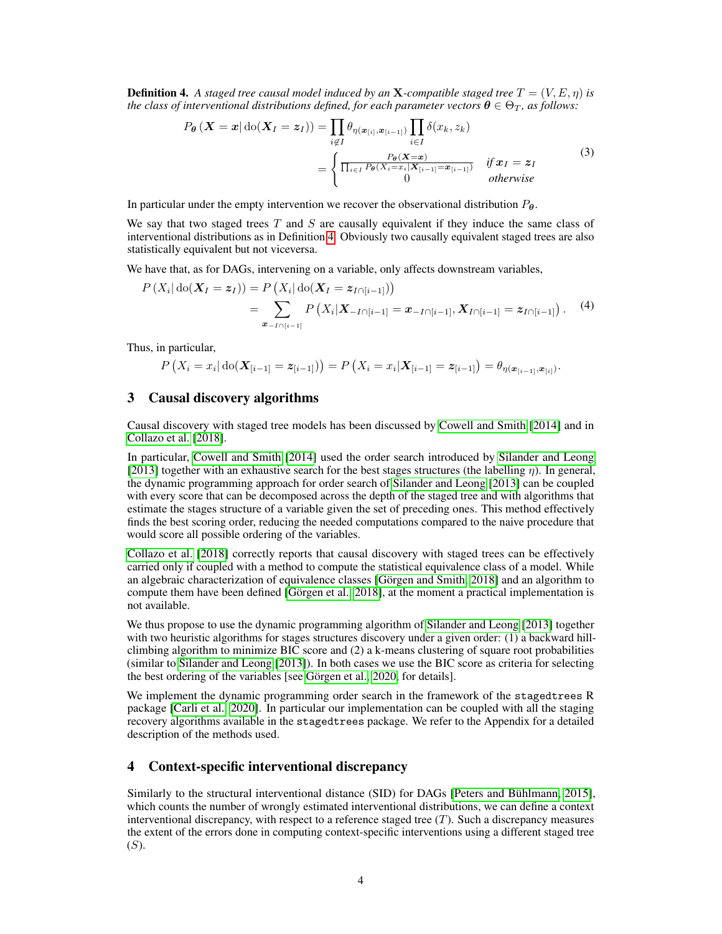<span id="page-3-0"></span>**Definition 4.** A staged tree causal model induced by an **X**-compatible staged tree  $T = (V, E, \eta)$  is *the class of interventional distributions defined, for each parameter vectors*  $\theta \in \Theta_T$ *, as follows:* 

$$
P_{\theta}\left(\boldsymbol{X}=\boldsymbol{x}|\operatorname{do}(\boldsymbol{X}_{I}=\boldsymbol{z}_{I})\right)=\prod_{i\notin I}\theta_{\eta(\boldsymbol{x}_{[i]},\boldsymbol{x}_{[i-1]})}\prod_{i\in I}\delta(x_{k},z_{k})
$$
\n
$$
=\begin{cases}\n\frac{P_{\theta}(\boldsymbol{X}=\boldsymbol{x})}{\prod_{i\in I}P_{\theta}(X_{i}=\boldsymbol{x}_{i}|X_{[i-1]}=\boldsymbol{x}_{[i-1]})} & \text{if } \boldsymbol{x}_{I}=\boldsymbol{z}_{I} \\
0 & \text{otherwise}\n\end{cases}
$$
\n(3)

In particular under the empty intervention we recover the observational distribution  $P_{\theta}$ .

We say that two staged trees  $T$  and  $S$  are causally equivalent if they induce the same class of interventional distributions as in Definition [4.](#page-3-0) Obviously two causally equivalent staged trees are also statistically equivalent but not viceversa.

We have that, as for DAGs, intervening on a variable, only affects downstream variables,

$$
P(X_i | \text{do}(X_I = z_I)) = P(X_i | \text{do}(X_I = z_{I \cap [i-1]}))
$$
  
= 
$$
\sum_{\mathbf{x}_{-I \cap [i-1]}} P(X_i | X_{-I \cap [i-1]} = x_{-I \cap [i-1]}, X_{I \cap [i-1]} = z_{I \cap [i-1]}).
$$
 (4)

Thus, in particular,

$$
P\left(X_i = x_i | \text{do}(X_{[i-1]} = \boldsymbol{z}_{[i-1]})\right) = P\left(X_i = x_i | \textbf{X}_{[i-1]} = \boldsymbol{z}_{[i-1]}\right) = \theta_{\eta(\boldsymbol{x}_{[i-1]}, \boldsymbol{x}_{[i]})}.
$$

### <span id="page-3-1"></span>3 Causal discovery algorithms

Causal discovery with staged tree models has been discussed by [Cowell and Smith](#page-9-6) [\[2014\]](#page-9-6) and in [Collazo et al.](#page-9-8) [\[2018\]](#page-9-8).

In particular, [Cowell and Smith](#page-9-6) [\[2014\]](#page-9-6) used the order search introduced by [Silander and Leong](#page-10-5) [\[2013\]](#page-10-5) together with an exhaustive search for the best stages structures (the labelling  $\eta$ ). In general, the dynamic programming approach for order search of [Silander and Leong](#page-10-5) [\[2013\]](#page-10-5) can be coupled with every score that can be decomposed across the depth of the staged tree and with algorithms that estimate the stages structure of a variable given the set of preceding ones. This method effectively finds the best scoring order, reducing the needed computations compared to the naive procedure that would score all possible ordering of the variables.

[Collazo et al.](#page-9-8) [\[2018\]](#page-9-8) correctly reports that causal discovery with staged trees can be effectively carried only if coupled with a method to compute the statistical equivalence class of a model. While an algebraic characterization of equivalence classes [\[Görgen and Smith, 2018\]](#page-9-16) and an algorithm to compute them have been defined [\[Görgen et al., 2018\]](#page-9-17), at the moment a practical implementation is not available.

We thus propose to use the dynamic programming algorithm of [Silander and Leong](#page-10-5) [\[2013\]](#page-10-5) together with two heuristic algorithms for stages structures discovery under a given order: (1) a backward hillclimbing algorithm to minimize BIC score and  $(2)$  a k-means clustering of square root probabilities (similar to [Silander and Leong](#page-10-5) [\[2013\]](#page-10-5)). In both cases we use the BIC score as criteria for selecting the best ordering of the variables [see [Görgen et al., 2020,](#page-9-20) for details].

We implement the dynamic programming order search in the framework of the stagedtrees R package [\[Carli et al., 2020\]](#page-9-12). In particular our implementation can be coupled with all the staging recovery algorithms available in the stagedtrees package. We refer to the Appendix for a detailed description of the methods used.

## 4 Context-specific interventional discrepancy

Similarly to the structural interventional distance (SID) for DAGs [\[Peters and Bühlmann, 2015\]](#page-10-8), which counts the number of wrongly estimated interventional distributions, we can define a context interventional discrepancy, with respect to a reference staged tree  $(T)$ . Such a discrepancy measures the extent of the errors done in computing context-specific interventions using a different staged tree (S).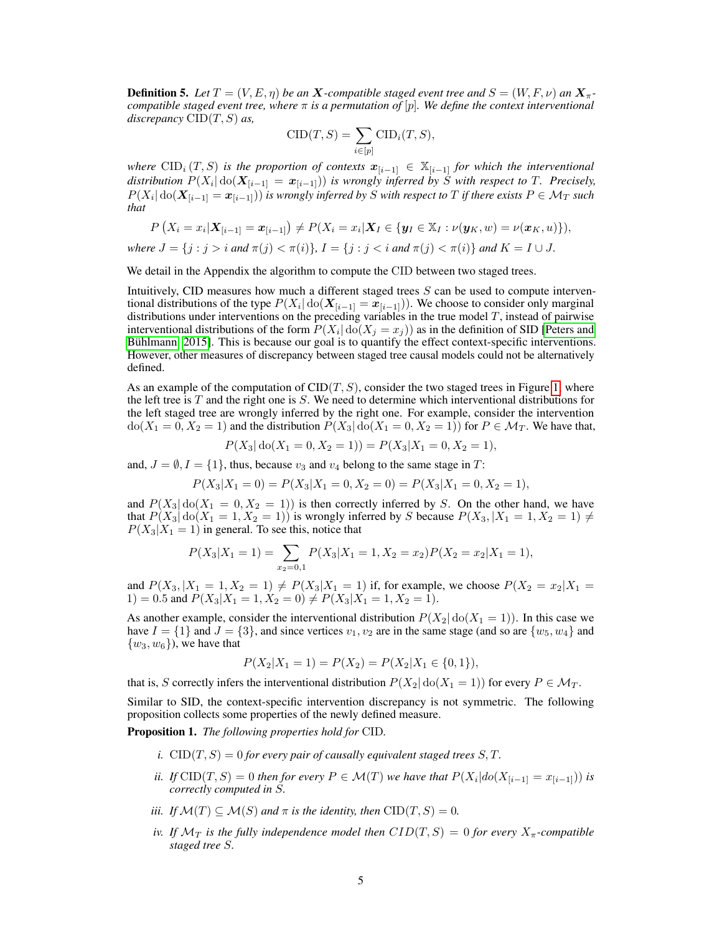<span id="page-4-0"></span>**Definition 5.** Let  $T = (V, E, \eta)$  be an X-compatible staged event tree and  $S = (W, F, \nu)$  an  $X_{\pi}$ *compatible staged event tree, where* π *is a permutation of* [p]*. We define the context interventional discrepancy* CID(T, S) *as,*

$$
CID(T, S) = \sum_{i \in [p]} CID_i(T, S),
$$

*where* CID<sub>i</sub>  $(T, S)$  *is the proportion of contexts*  $x_{[i-1]} \in \mathbb{X}_{[i-1]}$  *for which the interventional*  $distribution\; P(X_i | \mathrm{do}(X_{[i-1]} = x_{[i-1]}))$  is wrongly inferred by S with respect to T. Precisely,  $P(X_i|\, \mathrm{do}(\bm{X}_{[i-1]}=\bm{x}_{[i-1]}))$  is wrongly inferred by  $S$  with respect to  $T$  if there exists  $P\in \mathcal{M}_T$  such *that*

$$
P(X_i = x_i | \mathbf{X}_{[i-1]} = \mathbf{x}_{[i-1]}) \neq P(X_i = x_i | \mathbf{X}_I \in \{\mathbf{y}_I \in \mathbb{X}_I : \nu(\mathbf{y}_K, w) = \nu(\mathbf{x}_K, u)\}),
$$

*where*  $J = \{j : j > i \text{ and } \pi(j) < \pi(i)\}\$ ,  $I = \{j : j < i \text{ and } \pi(j) < \pi(i)\}\$  and  $K = I \cup J$ .

We detail in the Appendix the algorithm to compute the CID between two staged trees.

Intuitively, CID measures how much a different staged trees  $S$  can be used to compute interventional distributions of the type  $P(X_i | \text{do}(\mathbf{X}_{[i-1]} = \mathbf{x}_{[i-1]})).$  We choose to consider only marginal distributions under interventions on the preceding variables in the true model T, instead of pairwise interventional distributions of the form  $P(X_i | \text{do}(X_j = x_j))$  as in the definition of SID [\[Peters and](#page-10-8) [Bühlmann, 2015\]](#page-10-8). This is because our goal is to quantify the effect context-specific interventions. However, other measures of discrepancy between staged tree causal models could not be alternatively defined.

As an example of the computation of  $\text{CID}(T, S)$ , consider the two staged trees in Figure [1,](#page-1-1) where the left tree is  $T$  and the right one is  $S$ . We need to determine which interventional distributions for the left staged tree are wrongly inferred by the right one. For example, consider the intervention  $\text{do}(X_1 = 0, X_2 = 1)$  and the distribution  $P(X_3 | \text{do}(X_1 = 0, X_2 = 1))$  for  $P \in \mathcal{M}_T$ . We have that,

$$
P(X_3 | \text{do}(X_1 = 0, X_2 = 1)) = P(X_3 | X_1 = 0, X_2 = 1),
$$

and,  $J = \emptyset, I = \{1\}$ , thus, because  $v_3$  and  $v_4$  belong to the same stage in T:

$$
P(X_3|X_1=0) = P(X_3|X_1=0, X_2=0) = P(X_3|X_1=0, X_2=1),
$$

and  $P(X_3 | \text{do}(X_1 = 0, X_2 = 1))$  is then correctly inferred by S. On the other hand, we have that  $P(X_3 | \text{do}(X_1 = 1, X_2 = 1))$  is wrongly inferred by S because  $P(X_3, |X_1 = 1, X_2 = 1) \neq$  $P(X_3|X_1 = 1)$  in general. To see this, notice that

$$
P(X_3|X_1=1) = \sum_{x_2=0,1} P(X_3|X_1=1, X_2=x_2)P(X_2=x_2|X_1=1),
$$

and  $P(X_3, |X_1 = 1, X_2 = 1) \neq P(X_3 | X_1 = 1)$  if, for example, we choose  $P(X_2 = x_2 | X_1 = 1)$ 1) = 0.5 and  $P(X_3|X_1 = 1, X_2 = 0) \neq P(X_3|X_1 = 1, X_2 = 1)$ .

As another example, consider the interventional distribution  $P(X_2 | \text{do}(X_1 = 1))$ . In this case we have  $I = \{1\}$  and  $J = \{3\}$ , and since vertices  $v_1, v_2$  are in the same stage (and so are  $\{w_5, w_4\}$  and  $\{w_3, w_6\}$ , we have that

$$
P(X_2|X_1 = 1) = P(X_2) = P(X_2|X_1 \in \{0, 1\}),
$$

that is, S correctly infers the interventional distribution  $P(X_2 | \text{do}(X_1 = 1))$  for every  $P \in \mathcal{M}_T$ .

Similar to SID, the context-specific intervention discrepancy is not symmetric. The following proposition collects some properties of the newly defined measure.

Proposition 1. *The following properties hold for* CID*.*

- *i.*  $\text{CID}(T, S) = 0$  *for every pair of causally equivalent staged trees* S, T.
- *ii. If*  $\text{CID}(T, S) = 0$  *then for every*  $P \in \mathcal{M}(T)$  *we have that*  $P(X_i | do(X_{[i-1]} = x_{[i-1]}))$  *is correctly computed in* S*.*
- *iii. If*  $\mathcal{M}(T) \subseteq \mathcal{M}(S)$  *and*  $\pi$  *is the identity, then*  $\text{CID}(T, S) = 0$ *.*
- *iv. If*  $\mathcal{M}_T$  *is the fully independence model then*  $CID(T, S) = 0$  *for every*  $X_{\pi}$ -compatible *staged tree* S*.*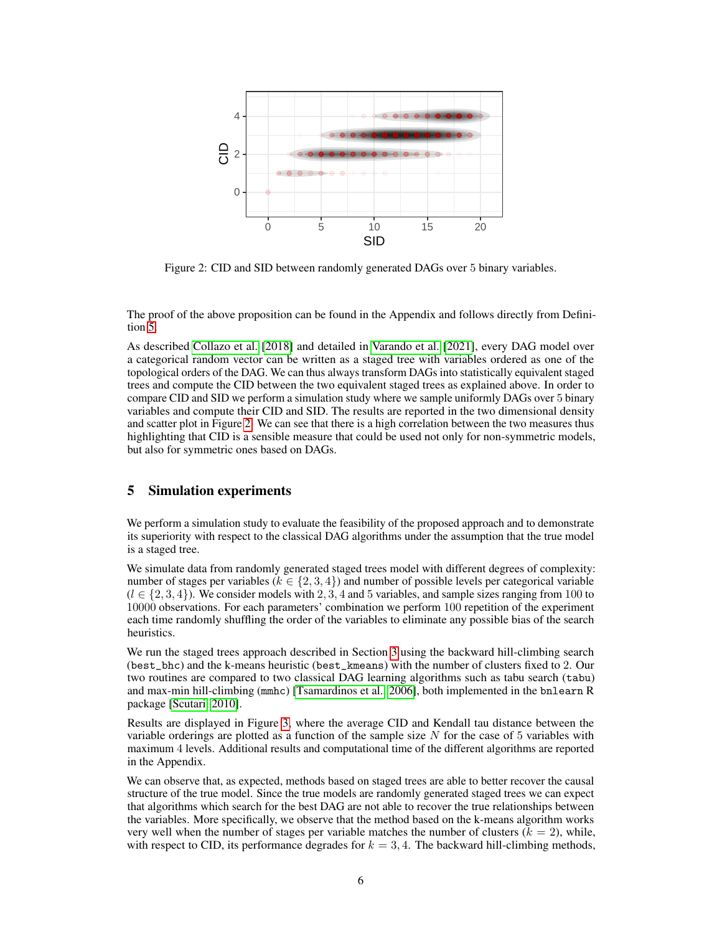<span id="page-5-0"></span>

Figure 2: CID and SID between randomly generated DAGs over 5 binary variables.

The proof of the above proposition can be found in the Appendix and follows directly from Definition [5.](#page-4-0)

As described [Collazo et al.](#page-9-8) [\[2018\]](#page-9-8) and detailed in [Varando et al.](#page-10-9) [\[2021\]](#page-10-9), every DAG model over a categorical random vector can be written as a staged tree with variables ordered as one of the topological orders of the DAG. We can thus always transform DAGs into statistically equivalent staged trees and compute the CID between the two equivalent staged trees as explained above. In order to compare CID and SID we perform a simulation study where we sample uniformly DAGs over 5 binary variables and compute their CID and SID. The results are reported in the two dimensional density and scatter plot in Figure [2.](#page-5-0) We can see that there is a high correlation between the two measures thus highlighting that CID is a sensible measure that could be used not only for non-symmetric models, but also for symmetric ones based on DAGs.

## 5 Simulation experiments

We perform a simulation study to evaluate the feasibility of the proposed approach and to demonstrate its superiority with respect to the classical DAG algorithms under the assumption that the true model is a staged tree.

We simulate data from randomly generated staged trees model with different degrees of complexity: number of stages per variables ( $k \in \{2, 3, 4\}$ ) and number of possible levels per categorical variable  $(l \in \{2, 3, 4\})$ . We consider models with 2, 3, 4 and 5 variables, and sample sizes ranging from 100 to 10000 observations. For each parameters' combination we perform 100 repetition of the experiment each time randomly shuffling the order of the variables to eliminate any possible bias of the search heuristics.

We run the staged trees approach described in Section [3](#page-3-1) using the backward hill-climbing search (best\_bhc) and the k-means heuristic (best\_kmeans) with the number of clusters fixed to 2. Our two routines are compared to two classical DAG learning algorithms such as tabu search (tabu) and max-min hill-climbing (mmhc) [\[Tsamardinos et al., 2006\]](#page-10-10), both implemented in the bnlearn R package [\[Scutari, 2010\]](#page-10-11).

Results are displayed in Figure [3,](#page-6-0) where the average CID and Kendall tau distance between the variable orderings are plotted as a function of the sample size  $N$  for the case of 5 variables with maximum 4 levels. Additional results and computational time of the different algorithms are reported in the Appendix.

We can observe that, as expected, methods based on staged trees are able to better recover the causal structure of the true model. Since the true models are randomly generated staged trees we can expect that algorithms which search for the best DAG are not able to recover the true relationships between the variables. More specifically, we observe that the method based on the k-means algorithm works very well when the number of stages per variable matches the number of clusters  $(k = 2)$ , while, with respect to CID, its performance degrades for  $k = 3, 4$ . The backward hill-climbing methods,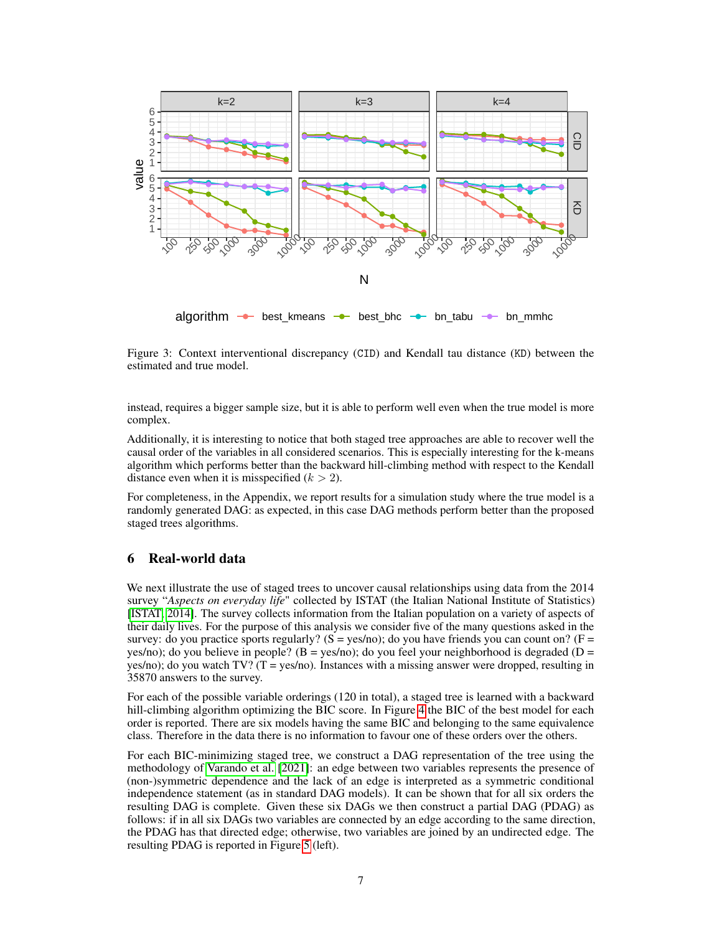<span id="page-6-0"></span>

Figure 3: Context interventional discrepancy (CID) and Kendall tau distance (KD) between the estimated and true model.

instead, requires a bigger sample size, but it is able to perform well even when the true model is more complex.

Additionally, it is interesting to notice that both staged tree approaches are able to recover well the causal order of the variables in all considered scenarios. This is especially interesting for the k-means algorithm which performs better than the backward hill-climbing method with respect to the Kendall distance even when it is misspecified  $(k > 2)$ .

For completeness, in the Appendix, we report results for a simulation study where the true model is a randomly generated DAG: as expected, in this case DAG methods perform better than the proposed staged trees algorithms.

# 6 Real-world data

We next illustrate the use of staged trees to uncover causal relationships using data from the 2014 survey "*Aspects on everyday life*" collected by ISTAT (the Italian National Institute of Statistics) [\[ISTAT, 2014\]](#page-9-21). The survey collects information from the Italian population on a variety of aspects of their daily lives. For the purpose of this analysis we consider five of the many questions asked in the survey: do you practice sports regularly?  $(S = yes/no)$ ; do you have friends you can count on?  $(F =$ yes/no); do you believe in people? ( $B = yes/no$ ); do you feel your neighborhood is degraded ( $D =$ yes/no); do you watch  $TV$ ? (T = yes/no). Instances with a missing answer were dropped, resulting in 35870 answers to the survey.

For each of the possible variable orderings (120 in total), a staged tree is learned with a backward hill-climbing algorithm optimizing the BIC score. In Figure [4](#page-7-0) the BIC of the best model for each order is reported. There are six models having the same BIC and belonging to the same equivalence class. Therefore in the data there is no information to favour one of these orders over the others.

For each BIC-minimizing staged tree, we construct a DAG representation of the tree using the methodology of [Varando et al.](#page-10-9) [\[2021\]](#page-10-9): an edge between two variables represents the presence of (non-)symmetric dependence and the lack of an edge is interpreted as a symmetric conditional independence statement (as in standard DAG models). It can be shown that for all six orders the resulting DAG is complete. Given these six DAGs we then construct a partial DAG (PDAG) as follows: if in all six DAGs two variables are connected by an edge according to the same direction, the PDAG has that directed edge; otherwise, two variables are joined by an undirected edge. The resulting PDAG is reported in Figure [5](#page-7-1) (left).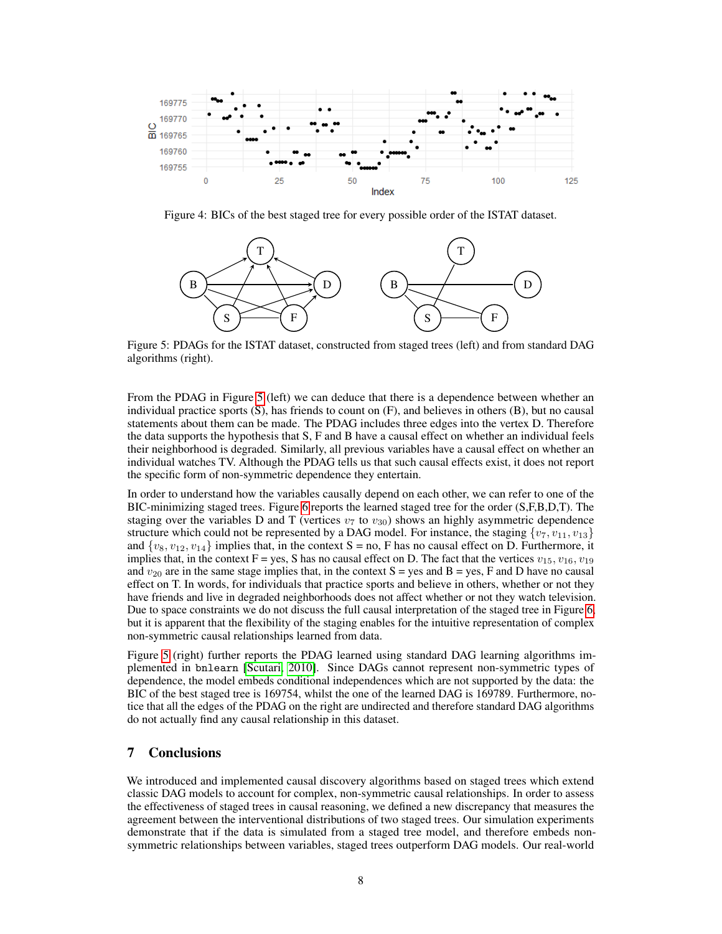<span id="page-7-0"></span>

<span id="page-7-1"></span>Figure 4: BICs of the best staged tree for every possible order of the ISTAT dataset.



Figure 5: PDAGs for the ISTAT dataset, constructed from staged trees (left) and from standard DAG algorithms (right).

From the PDAG in Figure [5](#page-7-1) (left) we can deduce that there is a dependence between whether an individual practice sports (S), has friends to count on (F), and believes in others (B), but no causal statements about them can be made. The PDAG includes three edges into the vertex D. Therefore the data supports the hypothesis that S, F and B have a causal effect on whether an individual feels their neighborhood is degraded. Similarly, all previous variables have a causal effect on whether an individual watches TV. Although the PDAG tells us that such causal effects exist, it does not report the specific form of non-symmetric dependence they entertain.

In order to understand how the variables causally depend on each other, we can refer to one of the BIC-minimizing staged trees. Figure [6](#page-8-0) reports the learned staged tree for the order (S,F,B,D,T). The staging over the variables D and T (vertices  $v_7$  to  $v_{30}$ ) shows an highly asymmetric dependence structure which could not be represented by a DAG model. For instance, the staging  $\{v_7, v_{11}, v_{13}\}$ and  $\{v_8, v_{12}, v_{14}\}$  implies that, in the context S = no, F has no causal effect on D. Furthermore, it implies that, in the context F = yes, S has no causal effect on D. The fact that the vertices  $v_{15}$ ,  $v_{16}$ ,  $v_{19}$ and  $v_{20}$  are in the same stage implies that, in the context S = yes and B = yes, F and D have no causal effect on T. In words, for individuals that practice sports and believe in others, whether or not they have friends and live in degraded neighborhoods does not affect whether or not they watch television. Due to space constraints we do not discuss the full causal interpretation of the staged tree in Figure [6,](#page-8-0) but it is apparent that the flexibility of the staging enables for the intuitive representation of complex non-symmetric causal relationships learned from data.

Figure [5](#page-7-1) (right) further reports the PDAG learned using standard DAG learning algorithms implemented in bnlearn [\[Scutari, 2010\]](#page-10-11). Since DAGs cannot represent non-symmetric types of dependence, the model embeds conditional independences which are not supported by the data: the BIC of the best staged tree is 169754, whilst the one of the learned DAG is 169789. Furthermore, notice that all the edges of the PDAG on the right are undirected and therefore standard DAG algorithms do not actually find any causal relationship in this dataset.

# 7 Conclusions

We introduced and implemented causal discovery algorithms based on staged trees which extend classic DAG models to account for complex, non-symmetric causal relationships. In order to assess the effectiveness of staged trees in causal reasoning, we defined a new discrepancy that measures the agreement between the interventional distributions of two staged trees. Our simulation experiments demonstrate that if the data is simulated from a staged tree model, and therefore embeds nonsymmetric relationships between variables, staged trees outperform DAG models. Our real-world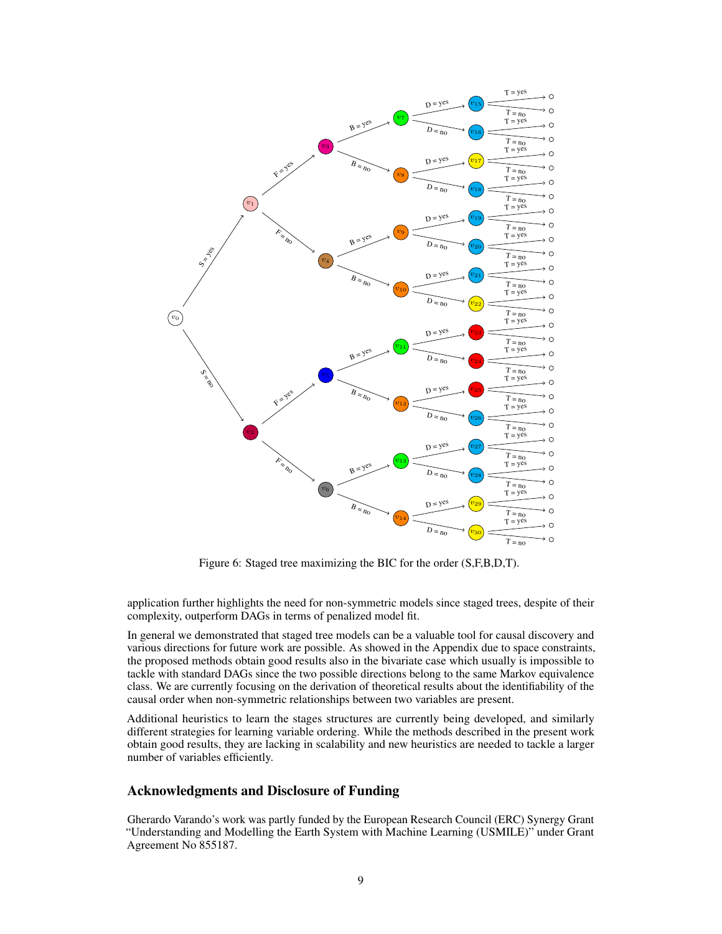<span id="page-8-0"></span>

Figure 6: Staged tree maximizing the BIC for the order (S,F,B,D,T).

application further highlights the need for non-symmetric models since staged trees, despite of their complexity, outperform DAGs in terms of penalized model fit.

In general we demonstrated that staged tree models can be a valuable tool for causal discovery and various directions for future work are possible. As showed in the Appendix due to space constraints, the proposed methods obtain good results also in the bivariate case which usually is impossible to tackle with standard DAGs since the two possible directions belong to the same Markov equivalence class. We are currently focusing on the derivation of theoretical results about the identifiability of the causal order when non-symmetric relationships between two variables are present.

Additional heuristics to learn the stages structures are currently being developed, and similarly different strategies for learning variable ordering. While the methods described in the present work obtain good results, they are lacking in scalability and new heuristics are needed to tackle a larger number of variables efficiently.

# Acknowledgments and Disclosure of Funding

Gherardo Varando's work was partly funded by the European Research Council (ERC) Synergy Grant "Understanding and Modelling the Earth System with Machine Learning (USMILE)" under Grant Agreement No 855187.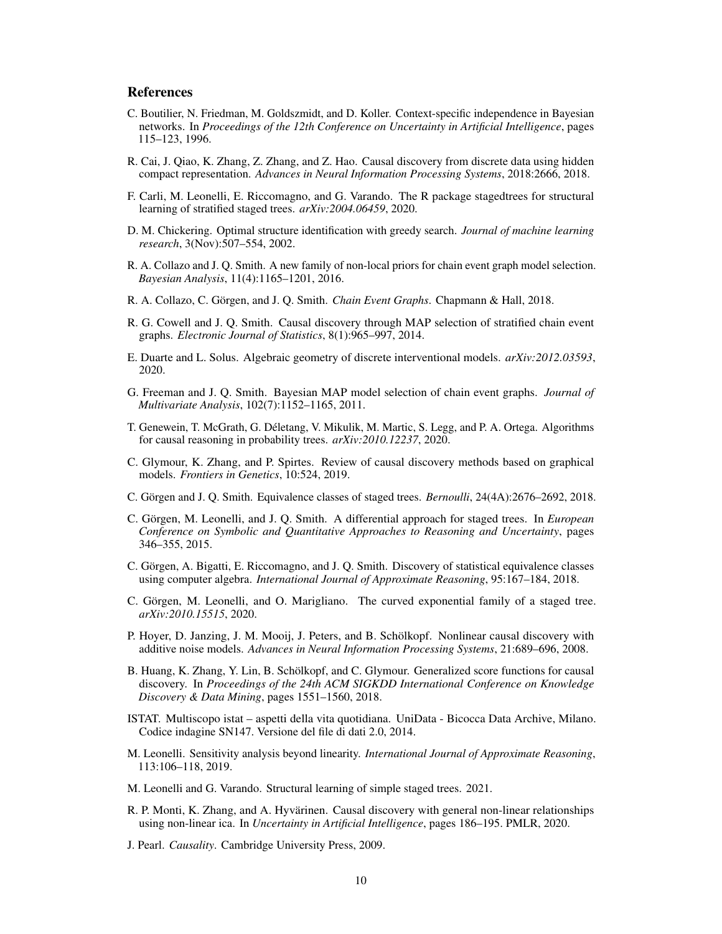# References

- <span id="page-9-19"></span>C. Boutilier, N. Friedman, M. Goldszmidt, and D. Koller. Context-specific independence in Bayesian networks. In *Proceedings of the 12th Conference on Uncertainty in Artificial Intelligence*, pages 115–123, 1996.
- <span id="page-9-5"></span>R. Cai, J. Qiao, K. Zhang, Z. Zhang, and Z. Hao. Causal discovery from discrete data using hidden compact representation. *Advances in Neural Information Processing Systems*, 2018:2666, 2018.
- <span id="page-9-12"></span>F. Carli, M. Leonelli, E. Riccomagno, and G. Varando. The R package stagedtrees for structural learning of stratified staged trees. *arXiv:2004.06459*, 2020.
- <span id="page-9-2"></span>D. M. Chickering. Optimal structure identification with greedy search. *Journal of machine learning research*, 3(Nov):507–554, 2002.
- <span id="page-9-9"></span>R. A. Collazo and J. Q. Smith. A new family of non-local priors for chain event graph model selection. *Bayesian Analysis*, 11(4):1165–1201, 2016.
- <span id="page-9-8"></span>R. A. Collazo, C. Görgen, and J. Q. Smith. *Chain Event Graphs*. Chapmann & Hall, 2018.
- <span id="page-9-6"></span>R. G. Cowell and J. Q. Smith. Causal discovery through MAP selection of stratified chain event graphs. *Electronic Journal of Statistics*, 8(1):965–997, 2014.
- <span id="page-9-15"></span>E. Duarte and L. Solus. Algebraic geometry of discrete interventional models. *arXiv:2012.03593*, 2020.
- <span id="page-9-10"></span>G. Freeman and J. Q. Smith. Bayesian MAP model selection of chain event graphs. *Journal of Multivariate Analysis*, 102(7):1152–1165, 2011.
- <span id="page-9-13"></span>T. Genewein, T. McGrath, G. Déletang, V. Mikulik, M. Martic, S. Legg, and P. A. Ortega. Algorithms for causal reasoning in probability trees. *arXiv:2010.12237*, 2020.
- <span id="page-9-1"></span>C. Glymour, K. Zhang, and P. Spirtes. Review of causal discovery methods based on graphical models. *Frontiers in Genetics*, 10:524, 2019.
- <span id="page-9-16"></span>C. Görgen and J. Q. Smith. Equivalence classes of staged trees. *Bernoulli*, 24(4A):2676–2692, 2018.
- <span id="page-9-14"></span>C. Görgen, M. Leonelli, and J. Q. Smith. A differential approach for staged trees. In *European Conference on Symbolic and Quantitative Approaches to Reasoning and Uncertainty*, pages 346–355, 2015.
- <span id="page-9-17"></span>C. Görgen, A. Bigatti, E. Riccomagno, and J. Q. Smith. Discovery of statistical equivalence classes using computer algebra. *International Journal of Approximate Reasoning*, 95:167–184, 2018.
- <span id="page-9-20"></span>C. Görgen, M. Leonelli, and O. Marigliano. The curved exponential family of a staged tree. *arXiv:2010.15515*, 2020.
- <span id="page-9-3"></span>P. Hoyer, D. Janzing, J. M. Mooij, J. Peters, and B. Schölkopf. Nonlinear causal discovery with additive noise models. *Advances in Neural Information Processing Systems*, 21:689–696, 2008.
- <span id="page-9-7"></span>B. Huang, K. Zhang, Y. Lin, B. Schölkopf, and C. Glymour. Generalized score functions for causal discovery. In *Proceedings of the 24th ACM SIGKDD International Conference on Knowledge Discovery & Data Mining*, pages 1551–1560, 2018.
- <span id="page-9-21"></span>ISTAT. Multiscopo istat – aspetti della vita quotidiana. UniData - Bicocca Data Archive, Milano. Codice indagine SN147. Versione del file di dati 2.0, 2014.
- <span id="page-9-18"></span>M. Leonelli. Sensitivity analysis beyond linearity. *International Journal of Approximate Reasoning*, 113:106–118, 2019.
- <span id="page-9-11"></span>M. Leonelli and G. Varando. Structural learning of simple staged trees. 2021.
- <span id="page-9-4"></span>R. P. Monti, K. Zhang, and A. Hyvärinen. Causal discovery with general non-linear relationships using non-linear ica. In *Uncertainty in Artificial Intelligence*, pages 186–195. PMLR, 2020.
- <span id="page-9-0"></span>J. Pearl. *Causality*. Cambridge University Press, 2009.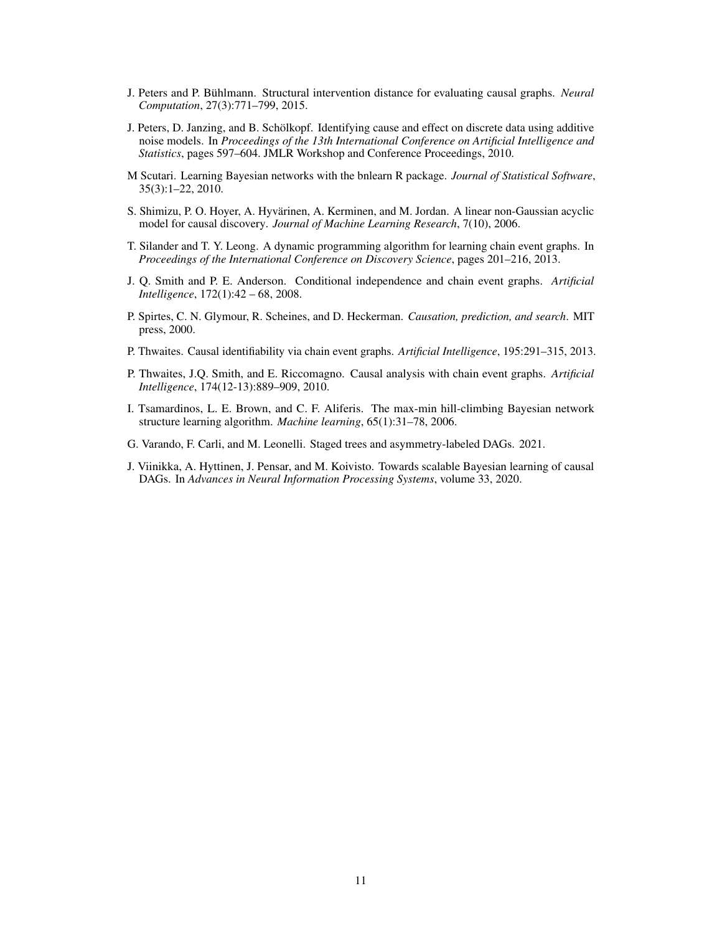- <span id="page-10-8"></span>J. Peters and P. Bühlmann. Structural intervention distance for evaluating causal graphs. *Neural Computation*, 27(3):771–799, 2015.
- <span id="page-10-3"></span>J. Peters, D. Janzing, and B. Schölkopf. Identifying cause and effect on discrete data using additive noise models. In *Proceedings of the 13th International Conference on Artificial Intelligence and Statistics*, pages 597–604. JMLR Workshop and Conference Proceedings, 2010.
- <span id="page-10-11"></span>M Scutari. Learning Bayesian networks with the bnlearn R package. *Journal of Statistical Software*, 35(3):1–22, 2010.
- <span id="page-10-1"></span>S. Shimizu, P. O. Hoyer, A. Hyvärinen, A. Kerminen, and M. Jordan. A linear non-Gaussian acyclic model for causal discovery. *Journal of Machine Learning Research*, 7(10), 2006.
- <span id="page-10-5"></span>T. Silander and T. Y. Leong. A dynamic programming algorithm for learning chain event graphs. In *Proceedings of the International Conference on Discovery Science*, pages 201–216, 2013.
- <span id="page-10-4"></span>J. Q. Smith and P. E. Anderson. Conditional independence and chain event graphs. *Artificial Intelligence*, 172(1):42 – 68, 2008.
- <span id="page-10-0"></span>P. Spirtes, C. N. Glymour, R. Scheines, and D. Heckerman. *Causation, prediction, and search*. MIT press, 2000.
- <span id="page-10-7"></span>P. Thwaites. Causal identifiability via chain event graphs. *Artificial Intelligence*, 195:291–315, 2013.
- <span id="page-10-6"></span>P. Thwaites, J.Q. Smith, and E. Riccomagno. Causal analysis with chain event graphs. *Artificial Intelligence*, 174(12-13):889–909, 2010.
- <span id="page-10-10"></span>I. Tsamardinos, L. E. Brown, and C. F. Aliferis. The max-min hill-climbing Bayesian network structure learning algorithm. *Machine learning*, 65(1):31–78, 2006.
- <span id="page-10-9"></span>G. Varando, F. Carli, and M. Leonelli. Staged trees and asymmetry-labeled DAGs. 2021.
- <span id="page-10-2"></span>J. Viinikka, A. Hyttinen, J. Pensar, and M. Koivisto. Towards scalable Bayesian learning of causal DAGs. In *Advances in Neural Information Processing Systems*, volume 33, 2020.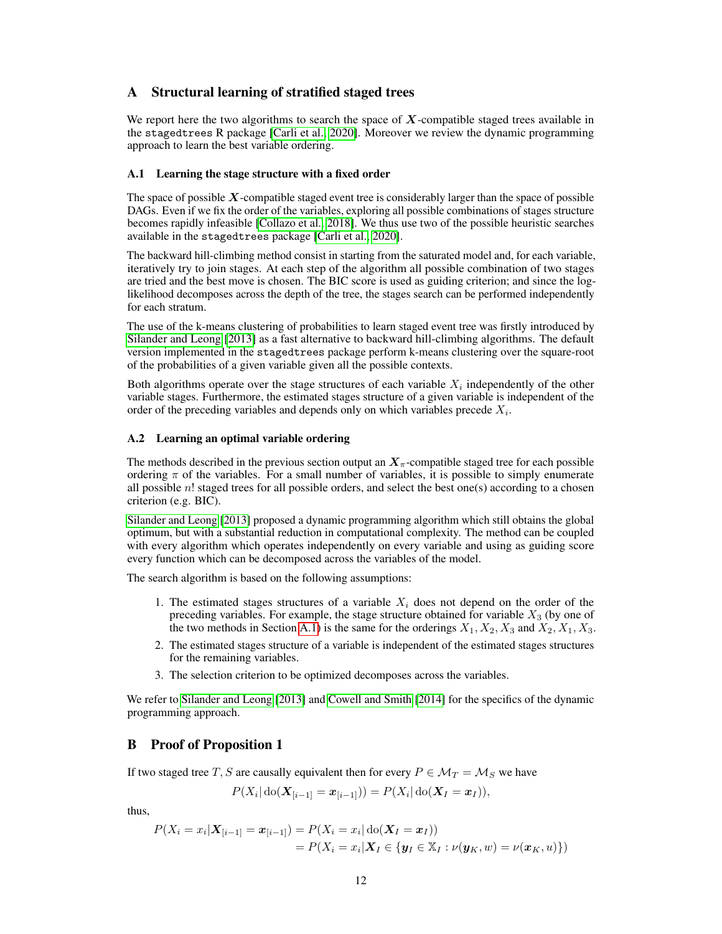# A Structural learning of stratified staged trees

We report here the two algorithms to search the space of  $X$ -compatible staged trees available in the stagedtrees R package [\[Carli et al., 2020\]](#page-9-12). Moreover we review the dynamic programming approach to learn the best variable ordering.

#### <span id="page-11-0"></span>A.1 Learning the stage structure with a fixed order

The space of possible  $X$ -compatible staged event tree is considerably larger than the space of possible DAGs. Even if we fix the order of the variables, exploring all possible combinations of stages structure becomes rapidly infeasible [\[Collazo et al., 2018\]](#page-9-8). We thus use two of the possible heuristic searches available in the stagedtrees package [\[Carli et al., 2020\]](#page-9-12).

The backward hill-climbing method consist in starting from the saturated model and, for each variable, iteratively try to join stages. At each step of the algorithm all possible combination of two stages are tried and the best move is chosen. The BIC score is used as guiding criterion; and since the loglikelihood decomposes across the depth of the tree, the stages search can be performed independently for each stratum.

The use of the k-means clustering of probabilities to learn staged event tree was firstly introduced by [Silander and Leong](#page-10-5) [\[2013\]](#page-10-5) as a fast alternative to backward hill-climbing algorithms. The default version implemented in the stagedtrees package perform k-means clustering over the square-root of the probabilities of a given variable given all the possible contexts.

Both algorithms operate over the stage structures of each variable  $X_i$  independently of the other variable stages. Furthermore, the estimated stages structure of a given variable is independent of the order of the preceding variables and depends only on which variables precede  $X_i$ .

#### A.2 Learning an optimal variable ordering

The methods described in the previous section output an  $X_\pi$ -compatible staged tree for each possible ordering  $\pi$  of the variables. For a small number of variables, it is possible to simply enumerate all possible n! staged trees for all possible orders, and select the best one(s) according to a chosen criterion (e.g. BIC).

[Silander and Leong](#page-10-5) [\[2013\]](#page-10-5) proposed a dynamic programming algorithm which still obtains the global optimum, but with a substantial reduction in computational complexity. The method can be coupled with every algorithm which operates independently on every variable and using as guiding score every function which can be decomposed across the variables of the model.

The search algorithm is based on the following assumptions:

- 1. The estimated stages structures of a variable  $X_i$  does not depend on the order of the preceding variables. For example, the stage structure obtained for variable  $X_3$  (by one of the two methods in Section [A.1\)](#page-11-0) is the same for the orderings  $X_1, X_2, X_3$  and  $X_2, X_1, X_3$ .
- 2. The estimated stages structure of a variable is independent of the estimated stages structures for the remaining variables.
- 3. The selection criterion to be optimized decomposes across the variables.

We refer to [Silander and Leong](#page-10-5) [\[2013\]](#page-10-5) and [Cowell and Smith](#page-9-6) [\[2014\]](#page-9-6) for the specifics of the dynamic programming approach.

# B Proof of Proposition 1

If two staged tree T, S are causally equivalent then for every  $P \in \mathcal{M}_T = \mathcal{M}_S$  we have

$$
P(X_i | \text{do}(\mathbf{X}_{[i-1]} = \mathbf{x}_{[i-1]})) = P(X_i | \text{do}(\mathbf{X}_I = \mathbf{x}_I)),
$$

thus,

$$
P(X_i = x_i | \mathbf{X}_{[i-1]} = \mathbf{x}_{[i-1]}) = P(X_i = x_i | \text{do}(\mathbf{X}_I = \mathbf{x}_I))
$$
  
= 
$$
P(X_i = x_i | \mathbf{X}_I \in \{\mathbf{y}_I \in \mathbb{X}_I : \nu(\mathbf{y}_K, w) = \nu(\mathbf{x}_K, u)\})
$$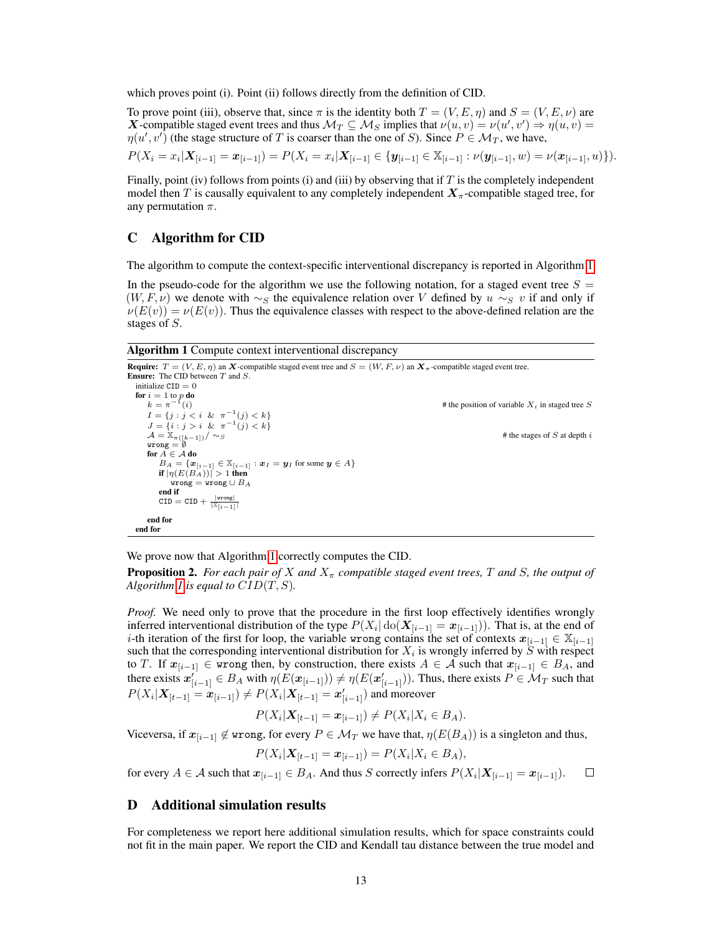which proves point (i). Point (ii) follows directly from the definition of CID.

To prove point (iii), observe that, since  $\pi$  is the identity both  $T = (V, E, \eta)$  and  $S = (V, E, \nu)$  are **X**-compatible staged event trees and thus  $\mathcal{M}_T \subseteq \mathcal{M}_S$  implies that  $\nu(u, v) = \nu(u', v') \Rightarrow \eta(u, v) =$  $\eta(u', v')$  (the stage structure of T is coarser than the one of S). Since  $P \in M_T$ , we have,

$$
P(X_i = x_i | \mathbf{X}_{[i-1]} = \mathbf{x}_{[i-1]}) = P(X_i = x_i | \mathbf{X}_{[i-1]} \in \{ \mathbf{y}_{[i-1]} \in \mathbb{X}_{[i-1]} : \nu(\mathbf{y}_{[i-1]}, w) = \nu(\mathbf{x}_{[i-1]}, u) \}).
$$

Finally, point (iv) follows from points (i) and (iii) by observing that if  $T$  is the completely independent model then T is causally equivalent to any completely independent  $X_\pi$ -compatible staged tree, for any permutation  $\pi$ .

## C Algorithm for CID

The algorithm to compute the context-specific interventional discrepancy is reported in Algorithm [1.](#page-12-0)

In the pseudo-code for the algorithm we use the following notation, for a staged event tree  $S =$  $(W, F, \nu)$  we denote with ∼s the equivalence relation over V defined by  $u \sim_S v$  if and only if  $\nu(E(v)) = \nu(E(v))$ . Thus the equivalence classes with respect to the above-defined relation are the stages of S.

<span id="page-12-0"></span>Algorithm 1 Compute context interventional discrepancy

```
Require: T = (V, E, \eta) an X-compatible staged event tree and S = (W, F, \nu) an X_\pi-compatible staged event tree.
Ensure: The CID between T and S.
  initialize CID = 0for i = 1 to p do<br>
k = \pi^{-1}(i)# the position of variable X_i in staged tree S
       I = \{j : j < i \& \pi^{-1}(j) < k\}J = \{i : j > i \& \pi^{-1}(j) < k\}\mathcal{A} = \mathbb{X}_{\pi([k-1])}/\sim_S # the stages of S at depth i
      for A \in \mathcal{A} do
          B_A = {\mathbf{x}_{[i-1]} \in \mathbb{X}_{[i-1]} : \mathbf{x}_I = \mathbf{y}_I \text{ for some } \mathbf{y} \in A}if |\eta(E(B_A))| > 1 then
              wrong = wrong \cup B_Aend if
          \texttt{CID} = \texttt{CID} + \frac{|\texttt{wrong}|}{|\mathbb{X}_{\lceil i-1\rceil}|}end for
  end for
```
We prove now that Algorithm [1](#page-12-0) correctly computes the CID.

**Proposition 2.** For each pair of X and  $X_\pi$  compatible staged event trees, T and S, the output of *Algorithm [1](#page-12-0) is equal to*  $CID(T, S)$ *.* 

*Proof.* We need only to prove that the procedure in the first loop effectively identifies wrongly inferred interventional distribution of the type  $P(X_i | \text{do}(X_{[i-1]} = x_{[i-1]}))$ . That is, at the end of i-th iteration of the first for loop, the variable wrong contains the set of contexts  $x_{[i-1]} \in \mathbb{X}_{[i-1]}$ such that the corresponding interventional distribution for  $X_i$  is wrongly inferred by  $S$  with respect to T. If  $x_{[i-1]} \in \mathbb{R}$  wrong then, by construction, there exists  $A \in \mathcal{A}$  such that  $x_{[i-1]} \in B_A$ , and there exists  $x'_{[i-1]} \in B_A$  with  $\eta(E(x_{[i-1]})) \neq \eta(E(x'_{[i-1]}))$ . Thus, there exists  $P \in M_T$  such that  $P(X_i | X_{[t-1]} = x_{[i-1]}) \neq P(X_i | X_{[t-1]} = x'_{[i-1]})$  and moreover

$$
P(X_i | \mathbf{X}_{[t-1]} = \mathbf{x}_{[i-1]}) \neq P(X_i | X_i \in B_A).
$$

Viceversa, if  $x_{[i-1]} \notin \text{wrong}$ , for every  $P \in \mathcal{M}_T$  we have that,  $\eta(E(B_A))$  is a singleton and thus,

$$
P(X_i | \mathbf{X}_{[t-1]} = \mathbf{x}_{[i-1]}) = P(X_i | X_i \in B_A),
$$

for every  $A \in \mathcal{A}$  such that  $x_{[i-1]} \in B_A$ . And thus S correctly infers  $P(X_i|\mathbf{X}_{[i-1]} = x_{[i-1]})$ .  $\Box$ 

# D Additional simulation results

For completeness we report here additional simulation results, which for space constraints could not fit in the main paper. We report the CID and Kendall tau distance between the true model and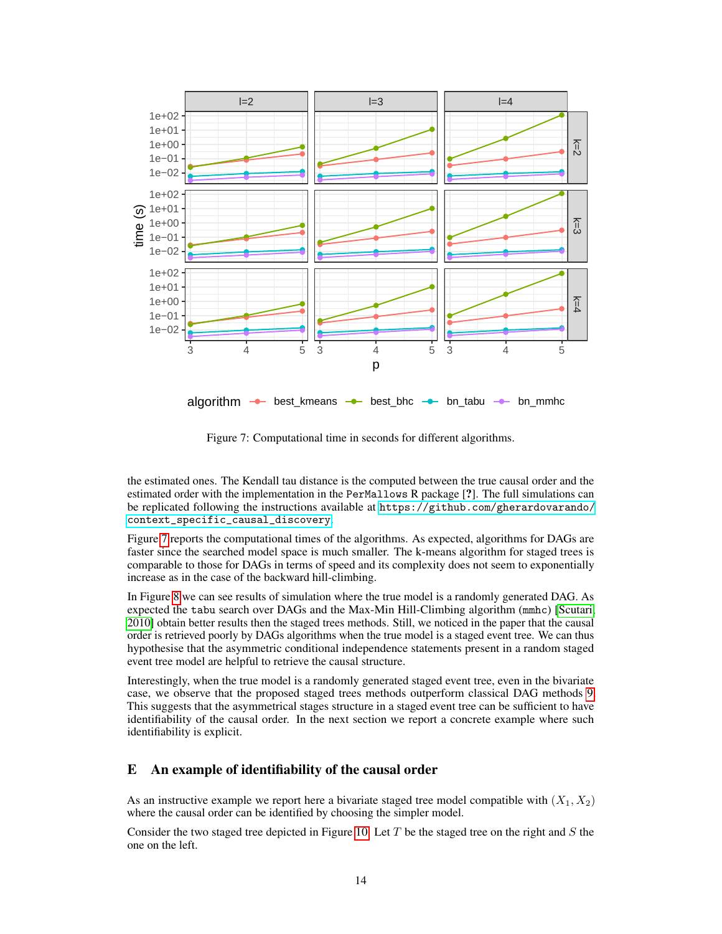<span id="page-13-0"></span>

Figure 7: Computational time in seconds for different algorithms.

the estimated ones. The Kendall tau distance is the computed between the true causal order and the estimated order with the implementation in the PerMallows R package [?]. The full simulations can be replicated following the instructions available at [https://github.com/gherardovarando/](https://github.com/gherardovarando/context_specific_causal_discovery) [context\\_specific\\_causal\\_discovery](https://github.com/gherardovarando/context_specific_causal_discovery).

Figure [7](#page-13-0) reports the computational times of the algorithms. As expected, algorithms for DAGs are faster since the searched model space is much smaller. The k-means algorithm for staged trees is comparable to those for DAGs in terms of speed and its complexity does not seem to exponentially increase as in the case of the backward hill-climbing.

In Figure [8](#page-14-0) we can see results of simulation where the true model is a randomly generated DAG. As expected the tabu search over DAGs and the Max-Min Hill-Climbing algorithm (mmhc) [\[Scutari,](#page-10-11) [2010\]](#page-10-11) obtain better results then the staged trees methods. Still, we noticed in the paper that the causal order is retrieved poorly by DAGs algorithms when the true model is a staged event tree. We can thus hypothesise that the asymmetric conditional independence statements present in a random staged event tree model are helpful to retrieve the causal structure.

Interestingly, when the true model is a randomly generated staged event tree, even in the bivariate case, we observe that the proposed staged trees methods outperform classical DAG methods [9.](#page-15-0) This suggests that the asymmetrical stages structure in a staged event tree can be sufficient to have identifiability of the causal order. In the next section we report a concrete example where such identifiability is explicit.

#### E An example of identifiability of the causal order

As an instructive example we report here a bivariate staged tree model compatible with  $(X_1, X_2)$ where the causal order can be identified by choosing the simpler model.

Consider the two staged tree depicted in Figure [10.](#page-15-1) Let  $T$  be the staged tree on the right and  $S$  the one on the left.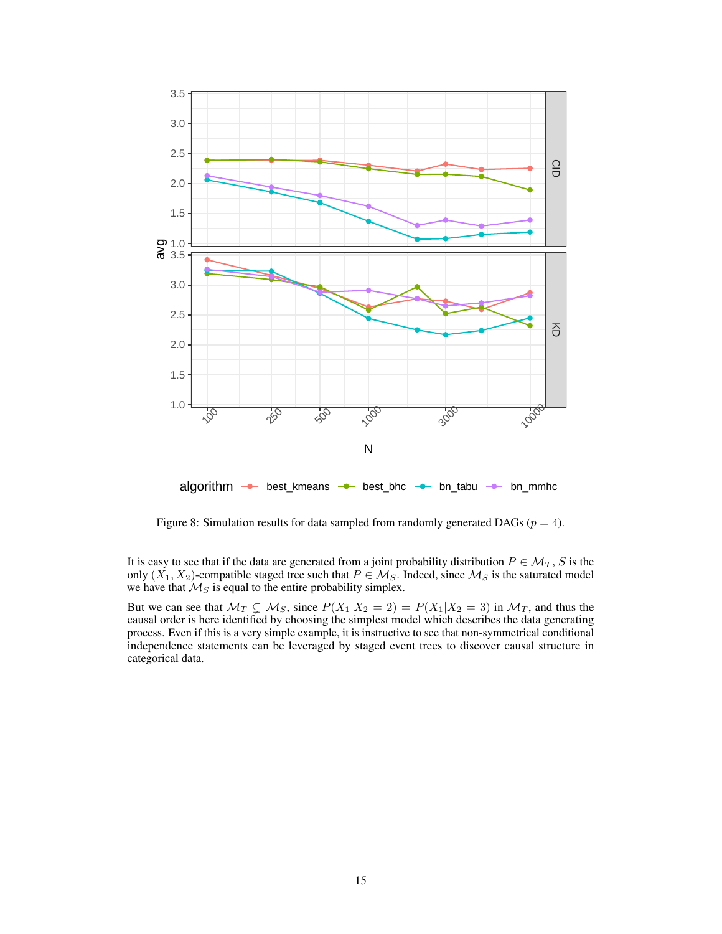<span id="page-14-0"></span>

Figure 8: Simulation results for data sampled from randomly generated DAGs ( $p = 4$ ).

It is easy to see that if the data are generated from a joint probability distribution  $P \in \mathcal{M}_T$ , S is the only  $(X_1, X_2)$ -compatible staged tree such that  $P \in \mathcal{M}_S$ . Indeed, since  $\mathcal{M}_S$  is the saturated model we have that  $\mathcal{M}_S$  is equal to the entire probability simplex.

But we can see that  $\mathcal{M}_T \subsetneq \mathcal{M}_S$ , since  $P(X_1|X_2 = 2) = P(X_1|X_2 = 3)$  in  $\mathcal{M}_T$ , and thus the causal order is here identified by choosing the simplest model which describes the data generating process. Even if this is a very simple example, it is instructive to see that non-symmetrical conditional independence statements can be leveraged by staged event trees to discover causal structure in categorical data.